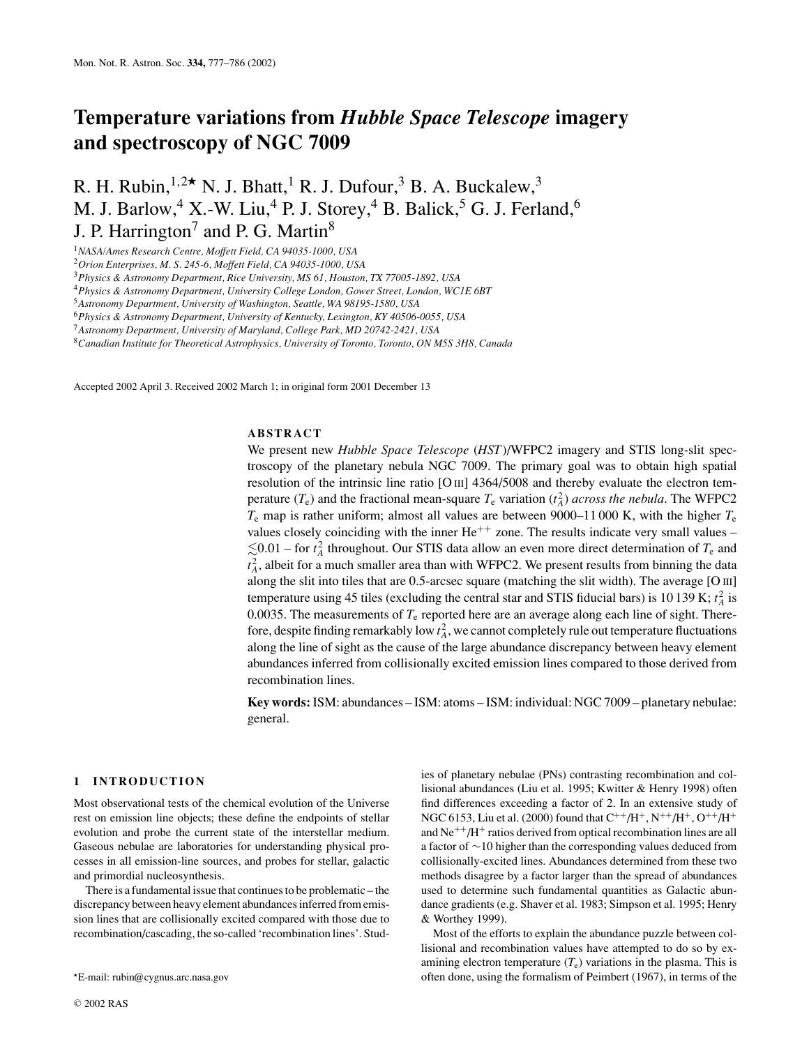# **Temperature variations from** *Hubble Space Telescope* **imagery and spectroscopy of NGC 7009**

R. H. Rubin,  $1,2 \star N$ . J. Bhatt, <sup>1</sup> R. J. Dufour, <sup>3</sup> B. A. Buckalew, <sup>3</sup> M. J. Barlow,<sup>4</sup> X.-W. Liu,<sup>4</sup> P. J. Storey,<sup>4</sup> B. Balick,<sup>5</sup> G. J. Ferland,<sup>6</sup> J. P. Harrington<sup>7</sup> and P. G. Martin<sup>8</sup>

<sup>1</sup>*NASA/Ames Research Centre, Moffett Field, CA 94035-1000, USA*

<sup>2</sup>*Orion Enterprises, M. S. 245-6, Moffett Field, CA 94035-1000, USA*

<sup>3</sup>*Physics & Astronomy Department, Rice University, MS 61, Houston, TX 77005-1892, USA*

<sup>4</sup>*Physics & Astronomy Department, University College London, Gower Street, London, WC1E 6BT*

<sup>5</sup>*Astronomy Department, University of Washington, Seattle, WA 98195-1580, USA*

<sup>6</sup>*Physics & Astronomy Department, University of Kentucky, Lexington, KY 40506-0055, USA*

<sup>8</sup>*Canadian Institute for Theoretical Astrophysics, University of Toronto, Toronto, ON M5S 3H8, Canada*

Accepted 2002 April 3. Received 2002 March 1; in original form 2001 December 13

# **ABSTRACT**

We present new *Hubble Space Telescope* (*HST*)/WFPC2 imagery and STIS long-slit spectroscopy of the planetary nebula NGC 7009. The primary goal was to obtain high spatial resolution of the intrinsic line ratio [O III] 4364/5008 and thereby evaluate the electron temperature  $(T_e)$  and the fractional mean-square  $T_e$  variation  $(t_A^2)$  *across the nebula*. The WFPC2 *T*<sup>e</sup> map is rather uniform; almost all values are between 9000–11 000 K, with the higher *T*<sup>e</sup> values closely coinciding with the inner  $He^{++}$  zone. The results indicate very small values –  $\leq 0.01$  – for  $t_A^2$  throughout. Our STIS data allow an even more direct determination of  $T_e$  and  $t_A^2$ , albeit for a much smaller area than with WFPC2. We present results from binning the data along the slit into tiles that are 0.5-arcsec square (matching the slit width). The average [O III] temperature using 45 tiles (excluding the central star and STIS fiducial bars) is 10 139 K;  $t_A^2$  is 0.0035. The measurements of *T*<sup>e</sup> reported here are an average along each line of sight. Therefore, despite finding remarkably low  $t_A^2$ , we cannot completely rule out temperature fluctuations along the line of sight as the cause of the large abundance discrepancy between heavy element abundances inferred from collisionally excited emission lines compared to those derived from recombination lines.

**Key words:** ISM: abundances – ISM: atoms – ISM: individual: NGC 7009 – planetary nebulae: general.

## **1 INTRODUCTION**

Most observational tests of the chemical evolution of the Universe rest on emission line objects; these define the endpoints of stellar evolution and probe the current state of the interstellar medium. Gaseous nebulae are laboratories for understanding physical processes in all emission-line sources, and probes for stellar, galactic and primordial nucleosynthesis.

There is a fundamental issue that continues to be problematic – the discrepancy between heavy element abundances inferred from emission lines that are collisionally excited compared with those due to recombination/cascading, the so-called 'recombination lines'. Studies of planetary nebulae (PNs) contrasting recombination and collisional abundances (Liu et al. 1995; Kwitter & Henry 1998) often find differences exceeding a factor of 2. In an extensive study of NGC 6153, Liu et al. (2000) found that  $C^{++}/H^+, N^{++}/H^+, O^{++}/H^+$ and  $Ne^{++}/H^+$  ratios derived from optical recombination lines are all a factor of ∼10 higher than the corresponding values deduced from collisionally-excited lines. Abundances determined from these two methods disagree by a factor larger than the spread of abundances used to determine such fundamental quantities as Galactic abundance gradients (e.g. Shaver et al. 1983; Simpson et al. 1995; Henry & Worthey 1999).

Most of the efforts to explain the abundance puzzle between collisional and recombination values have attempted to do so by examining electron temperature  $(T_e)$  variations in the plasma. This is often done, using the formalism of Peimbert (1967), in terms of the

<sup>7</sup>*Astronomy Department, University of Maryland, College Park, MD 20742-2421, USA*

E-mail: rubin@cygnus.arc.nasa.gov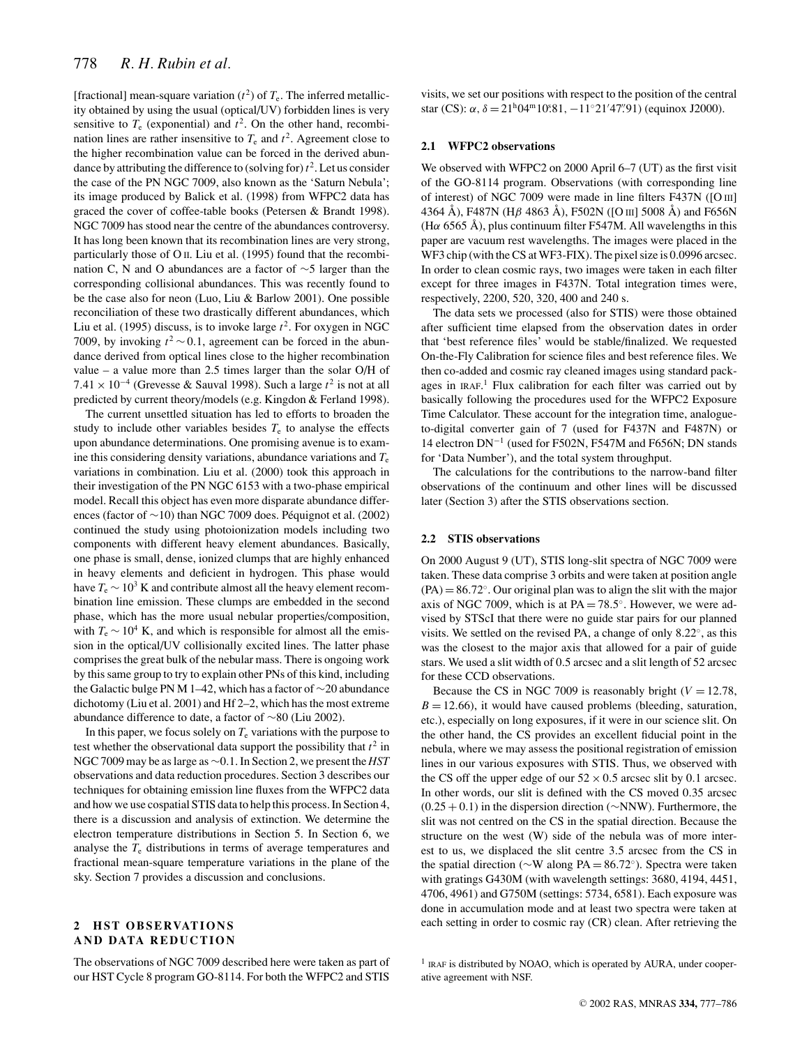[fractional] mean-square variation  $(t^2)$  of  $T_e$ . The inferred metallicity obtained by using the usual (optical/UV) forbidden lines is very sensitive to  $T_e$  (exponential) and  $t^2$ . On the other hand, recombination lines are rather insensitive to  $T_e$  and  $t^2$ . Agreement close to the higher recombination value can be forced in the derived abundance by attributing the difference to (solving for) $t^2$ . Let us consider the case of the PN NGC 7009, also known as the 'Saturn Nebula'; its image produced by Balick et al. (1998) from WFPC2 data has graced the cover of coffee-table books (Petersen & Brandt 1998). NGC 7009 has stood near the centre of the abundances controversy. It has long been known that its recombination lines are very strong, particularly those of O II. Liu et al. (1995) found that the recombination C, N and O abundances are a factor of ∼5 larger than the corresponding collisional abundances. This was recently found to be the case also for neon (Luo, Liu & Barlow 2001). One possible reconciliation of these two drastically different abundances, which Liu et al. (1995) discuss, is to invoke large  $t^2$ . For oxygen in NGC 7009, by invoking  $t^2$  ~ 0.1, agreement can be forced in the abundance derived from optical lines close to the higher recombination value – a value more than 2.5 times larger than the solar O/H of 7.41 × 10<sup>-4</sup> (Grevesse & Sauval 1998). Such a large  $t^2$  is not at all predicted by current theory/models (e.g. Kingdon & Ferland 1998).

The current unsettled situation has led to efforts to broaden the study to include other variables besides  $T<sub>e</sub>$  to analyse the effects upon abundance determinations. One promising avenue is to examine this considering density variations, abundance variations and  $T_e$ variations in combination. Liu et al. (2000) took this approach in their investigation of the PN NGC 6153 with a two-phase empirical model. Recall this object has even more disparate abundance differences (factor of ∼10) than NGC 7009 does. Péquignot et al. (2002) continued the study using photoionization models including two components with different heavy element abundances. Basically, one phase is small, dense, ionized clumps that are highly enhanced in heavy elements and deficient in hydrogen. This phase would have  $T_e \sim 10^3$  K and contribute almost all the heavy element recombination line emission. These clumps are embedded in the second phase, which has the more usual nebular properties/composition, with  $T_e \sim 10^4$  K, and which is responsible for almost all the emission in the optical/UV collisionally excited lines. The latter phase comprises the great bulk of the nebular mass. There is ongoing work by this same group to try to explain other PNs of this kind, including the Galactic bulge PN M 1–42, which has a factor of ∼20 abundance dichotomy (Liu et al. 2001) and Hf 2–2, which has the most extreme abundance difference to date, a factor of ∼80 (Liu 2002).

In this paper, we focus solely on  $T_e$  variations with the purpose to test whether the observational data support the possibility that  $t^2$  in NGC 7009 may be as large as ∼0.1. In Section 2, we present the *HST* observations and data reduction procedures. Section 3 describes our techniques for obtaining emission line fluxes from the WFPC2 data and how we use cospatial STIS data to help this process. In Section 4, there is a discussion and analysis of extinction. We determine the electron temperature distributions in Section 5. In Section 6, we analyse the  $T<sub>e</sub>$  distributions in terms of average temperatures and fractional mean-square temperature variations in the plane of the sky. Section 7 provides a discussion and conclusions.

# **2 HST OBSERVATIONS AND DATA REDUCTION**

The observations of NGC 7009 described here were taken as part of our HST Cycle 8 program GO-8114. For both the WFPC2 and STIS visits, we set our positions with respect to the position of the central star (CS):  $\alpha$ ,  $\delta = 21^{\text{h}}04^{\text{m}}10^{\text{s}}81$ ,  $-11^{\circ}21'47''91$ ) (equinox J2000).

#### **2.1 WFPC2 observations**

We observed with WFPC2 on 2000 April 6–7 (UT) as the first visit of the GO-8114 program. Observations (with corresponding line of interest) of NGC 7009 were made in line filters F437N ([O III] 4364 Å), F487N (Hβ 4863 Å), F502N ([O III] 5008 Å) and F656N (H $\alpha$  6565 Å), plus continuum filter F547M. All wavelengths in this paper are vacuum rest wavelengths. The images were placed in the WF3 chip (with the CS at WF3-FIX). The pixel size is 0.0996 arcsec. In order to clean cosmic rays, two images were taken in each filter except for three images in F437N. Total integration times were, respectively, 2200, 520, 320, 400 and 240 s.

The data sets we processed (also for STIS) were those obtained after sufficient time elapsed from the observation dates in order that 'best reference files' would be stable/finalized. We requested On-the-Fly Calibration for science files and best reference files. We then co-added and cosmic ray cleaned images using standard packages in IRAF. <sup>1</sup> Flux calibration for each filter was carried out by basically following the procedures used for the WFPC2 Exposure Time Calculator. These account for the integration time, analogueto-digital converter gain of 7 (used for F437N and F487N) or 14 electron DN<sup>−</sup><sup>1</sup> (used for F502N, F547M and F656N; DN stands for 'Data Number'), and the total system throughput.

The calculations for the contributions to the narrow-band filter observations of the continuum and other lines will be discussed later (Section 3) after the STIS observations section.

#### **2.2 STIS observations**

On 2000 August 9 (UT), STIS long-slit spectra of NGC 7009 were taken. These data comprise 3 orbits and were taken at position angle  $(PA) = 86.72°$ . Our original plan was to align the slit with the major axis of NGC 7009, which is at  $PA = 78.5^\circ$ . However, we were advised by STScI that there were no guide star pairs for our planned visits. We settled on the revised PA, a change of only 8.22◦, as this was the closest to the major axis that allowed for a pair of guide stars. We used a slit width of 0.5 arcsec and a slit length of 52 arcsec for these CCD observations.

Because the CS in NGC 7009 is reasonably bright  $(V = 12.78$ ,  $B = 12.66$ ), it would have caused problems (bleeding, saturation, etc.), especially on long exposures, if it were in our science slit. On the other hand, the CS provides an excellent fiducial point in the nebula, where we may assess the positional registration of emission lines in our various exposures with STIS. Thus, we observed with the CS off the upper edge of our  $52 \times 0.5$  arcsec slit by 0.1 arcsec. In other words, our slit is defined with the CS moved 0.35 arcsec (0.25 + 0.1) in the dispersion direction (∼NNW). Furthermore, the slit was not centred on the CS in the spatial direction. Because the structure on the west (W) side of the nebula was of more interest to us, we displaced the slit centre 3.5 arcsec from the CS in the spatial direction (∼W along PA = 86.72◦). Spectra were taken with gratings G430M (with wavelength settings: 3680, 4194, 4451, 4706, 4961) and G750M (settings: 5734, 6581). Each exposure was done in accumulation mode and at least two spectra were taken at each setting in order to cosmic ray (CR) clean. After retrieving the

 $<sup>1</sup>$  IRAF is distributed by NOAO, which is operated by AURA, under cooper-</sup> ative agreement with NSF.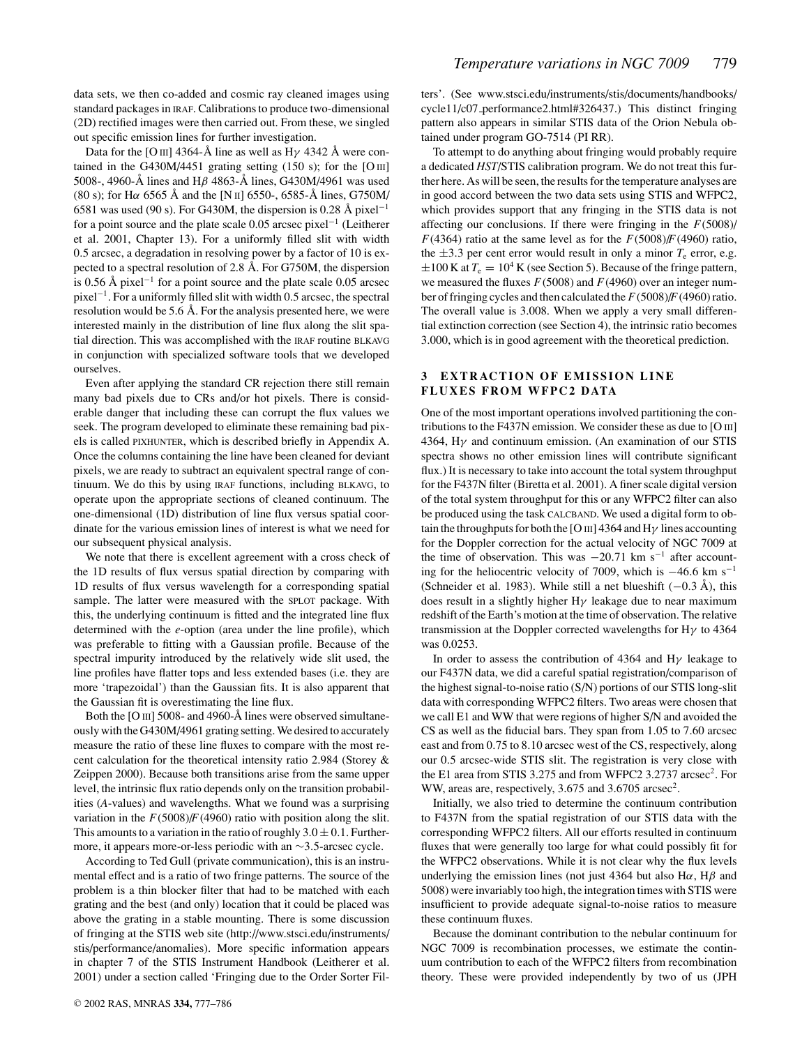data sets, we then co-added and cosmic ray cleaned images using standard packages in IRAF. Calibrations to produce two-dimensional (2D) rectified images were then carried out. From these, we singled out specific emission lines for further investigation.

Data for the [O III] 4364-Å line as well as H $\gamma$  4342 Å were contained in the G430M/4451 grating setting  $(150 \text{ s})$ ; for the [O III] 5008-, 4960-Å lines and H $\beta$  4863-Å lines, G430M/4961 was used (80 s); for H $\alpha$  6565 Å and the [N  $\text{II}$ ] 6550-, 6585-Å lines, G750M/ 6581 was used (90 s). For G430M, the dispersion is 0.28 Å pixel<sup>-1</sup> for a point source and the plate scale 0.05 arcsec pixel<sup>−</sup><sup>1</sup> (Leitherer et al. 2001, Chapter 13). For a uniformly filled slit with width 0.5 arcsec, a degradation in resolving power by a factor of 10 is expected to a spectral resolution of 2.8 Å. For G750M, the dispersion is 0.56 Å pixel<sup> $-1$ </sup> for a point source and the plate scale 0.05 arcsec pixel<sup>−</sup>1. For a uniformly filled slit with width 0.5 arcsec, the spectral resolution would be 5.6 Å. For the analysis presented here, we were interested mainly in the distribution of line flux along the slit spatial direction. This was accomplished with the IRAF routine BLKAVG in conjunction with specialized software tools that we developed ourselves.

Even after applying the standard CR rejection there still remain many bad pixels due to CRs and/or hot pixels. There is considerable danger that including these can corrupt the flux values we seek. The program developed to eliminate these remaining bad pixels is called PIXHUNTER, which is described briefly in Appendix A. Once the columns containing the line have been cleaned for deviant pixels, we are ready to subtract an equivalent spectral range of continuum. We do this by using IRAF functions, including BLKAVG, to operate upon the appropriate sections of cleaned continuum. The one-dimensional (1D) distribution of line flux versus spatial coordinate for the various emission lines of interest is what we need for our subsequent physical analysis.

We note that there is excellent agreement with a cross check of the 1D results of flux versus spatial direction by comparing with 1D results of flux versus wavelength for a corresponding spatial sample. The latter were measured with the SPLOT package. With this, the underlying continuum is fitted and the integrated line flux determined with the *e*-option (area under the line profile), which was preferable to fitting with a Gaussian profile. Because of the spectral impurity introduced by the relatively wide slit used, the line profiles have flatter tops and less extended bases (i.e. they are more 'trapezoidal') than the Gaussian fits. It is also apparent that the Gaussian fit is overestimating the line flux.

Both the [O III] 5008- and 4960- $\AA$  lines were observed simultaneously with the G430M/4961 grating setting. We desired to accurately measure the ratio of these line fluxes to compare with the most recent calculation for the theoretical intensity ratio 2.984 (Storey & Zeippen 2000). Because both transitions arise from the same upper level, the intrinsic flux ratio depends only on the transition probabilities (*A*-values) and wavelengths. What we found was a surprising variation in the  $F(5008)/F(4960)$  ratio with position along the slit. This amounts to a variation in the ratio of roughly  $3.0 \pm 0.1$ . Furthermore, it appears more-or-less periodic with an ∼3.5-arcsec cycle.

According to Ted Gull (private communication), this is an instrumental effect and is a ratio of two fringe patterns. The source of the problem is a thin blocker filter that had to be matched with each grating and the best (and only) location that it could be placed was above the grating in a stable mounting. There is some discussion of fringing at the STIS web site (http://www.stsci.edu/instruments/ stis/performance/anomalies). More specific information appears in chapter 7 of the STIS Instrument Handbook (Leitherer et al. 2001) under a section called 'Fringing due to the Order Sorter Filters'. (See www.stsci.edu/instruments/stis/documents/handbooks/ cycle11/c07 performance2.html#326437.) This distinct fringing pattern also appears in similar STIS data of the Orion Nebula obtained under program GO-7514 (PI RR).

To attempt to do anything about fringing would probably require a dedicated *HST*/STIS calibration program. We do not treat this further here. As will be seen, the results for the temperature analyses are in good accord between the two data sets using STIS and WFPC2, which provides support that any fringing in the STIS data is not affecting our conclusions. If there were fringing in the *F*(5008)/ *F*(4364) ratio at the same level as for the *F*(5008)/*F*(4960) ratio, the  $\pm 3.3$  per cent error would result in only a minor  $T_e$  error, e.g.  $\pm 100$  K at  $T_e = 10^4$  K (see Section 5). Because of the fringe pattern, we measured the fluxes *F*(5008) and *F*(4960) over an integer number of fringing cycles and then calculated the *F*(5008)/*F*(4960) ratio. The overall value is 3.008. When we apply a very small differential extinction correction (see Section 4), the intrinsic ratio becomes 3.000, which is in good agreement with the theoretical prediction.

# **3 EXTRACTION OF EMISSION LINE FLUXES FROM WFPC2 DATA**

One of the most important operations involved partitioning the contributions to the F437N emission. We consider these as due to [O III] 4364,  $H\gamma$  and continuum emission. (An examination of our STIS spectra shows no other emission lines will contribute significant flux.) It is necessary to take into account the total system throughput for the F437N filter (Biretta et al. 2001). A finer scale digital version of the total system throughput for this or any WFPC2 filter can also be produced using the task CALCBAND. We used a digital form to obtain the throughputs for both the [O III] 4364 and H $\gamma$  lines accounting for the Doppler correction for the actual velocity of NGC 7009 at the time of observation. This was  $-20.71$  km s<sup>-1</sup> after accounting for the heliocentric velocity of 7009, which is  $-46.6$  km s<sup>-1</sup> (Schneider et al. 1983). While still a net blueshift  $(-0.3 \text{ Å})$ , this does result in a slightly higher  $H<sub>V</sub>$  leakage due to near maximum redshift of the Earth's motion at the time of observation. The relative transmission at the Doppler corrected wavelengths for H $\gamma$  to 4364 was 0.0253.

In order to assess the contribution of 4364 and H $\gamma$  leakage to our F437N data, we did a careful spatial registration/comparison of the highest signal-to-noise ratio (S/N) portions of our STIS long-slit data with corresponding WFPC2 filters. Two areas were chosen that we call E1 and WW that were regions of higher S/N and avoided the CS as well as the fiducial bars. They span from 1.05 to 7.60 arcsec east and from 0.75 to 8.10 arcsec west of the CS, respectively, along our 0.5 arcsec-wide STIS slit. The registration is very close with the E1 area from STIS 3.275 and from WFPC2 3.2737 arcsec<sup>2</sup>. For WW, areas are, respectively, 3.675 and 3.6705 arcsec<sup>2</sup>.

Initially, we also tried to determine the continuum contribution to F437N from the spatial registration of our STIS data with the corresponding WFPC2 filters. All our efforts resulted in continuum fluxes that were generally too large for what could possibly fit for the WFPC2 observations. While it is not clear why the flux levels underlying the emission lines (not just 4364 but also H $\alpha$ , H $\beta$  and 5008) were invariably too high, the integration times with STIS were insufficient to provide adequate signal-to-noise ratios to measure these continuum fluxes.

Because the dominant contribution to the nebular continuum for NGC 7009 is recombination processes, we estimate the continuum contribution to each of the WFPC2 filters from recombination theory. These were provided independently by two of us (JPH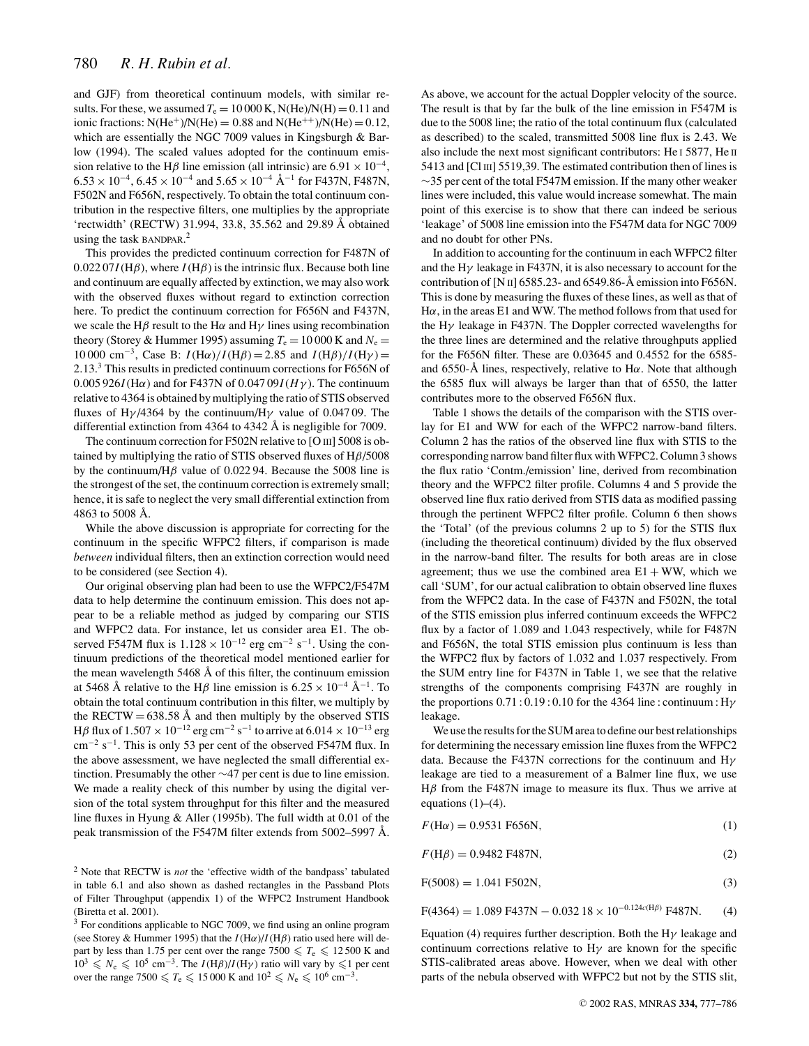and GJF) from theoretical continuum models, with similar results. For these, we assumed  $T_e = 10000$  K, N(He)/N(H) = 0.11 and ionic fractions:  $N(\text{He}^+)/N(\text{He}) = 0.88$  and  $N(\text{He}^{++})/N(\text{He}) = 0.12$ , which are essentially the NGC 7009 values in Kingsburgh & Barlow (1994). The scaled values adopted for the continuum emission relative to the H $\beta$  line emission (all intrinsic) are 6.91 × 10<sup>-4</sup>,  $6.53 \times 10^{-4}$ ,  $6.45 \times 10^{-4}$  and  $5.65 \times 10^{-4}$  Å<sup>-1</sup> for F437N, F487N, F502N and F656N, respectively. To obtain the total continuum contribution in the respective filters, one multiplies by the appropriate 'rectwidth' (RECTW) 31.994, 33.8, 35.562 and 29.89 Å obtained using the task BANDPAR. 2

This provides the predicted continuum correction for F487N of  $0.02207I(H\beta)$ , where  $I(H\beta)$  is the intrinsic flux. Because both line and continuum are equally affected by extinction, we may also work with the observed fluxes without regard to extinction correction here. To predict the continuum correction for F656N and F437N, we scale the H $\beta$  result to the H $\alpha$  and H $\gamma$  lines using recombination theory (Storey & Hummer 1995) assuming  $T_e = 10000$  K and  $N_e =$ 10 000 cm<sup>−3</sup>, Case B: *I*(Hα)/*I*(Hβ) = 2.85 and *I*(Hβ)/*I*(Hγ) = 2.13.3 This results in predicted continuum corrections for F656N of 0.005 926*I*(H $\alpha$ ) and for F437N of 0.047 09*I*( $H\gamma$ ). The continuum relative to 4364 is obtained by multiplying the ratio of STIS observed fluxes of H $\gamma$ /4364 by the continuum/H $\gamma$  value of 0.04709. The differential extinction from  $4364$  to  $4342$  Å is negligible for 7009.

The continuum correction for F502N relative to [O III] 5008 is obtained by multiplying the ratio of STIS observed fluxes of  $H\beta/5008$ by the continuum/H $\beta$  value of 0.022 94. Because the 5008 line is the strongest of the set, the continuum correction is extremely small; hence, it is safe to neglect the very small differential extinction from 4863 to 5008  $\AA$ .

While the above discussion is appropriate for correcting for the continuum in the specific WFPC2 filters, if comparison is made *between* individual filters, then an extinction correction would need to be considered (see Section 4).

Our original observing plan had been to use the WFPC2/F547M data to help determine the continuum emission. This does not appear to be a reliable method as judged by comparing our STIS and WFPC2 data. For instance, let us consider area E1. The observed F547M flux is  $1.128 \times 10^{-12}$  erg cm<sup>-2</sup> s<sup>-1</sup>. Using the continuum predictions of the theoretical model mentioned earlier for the mean wavelength  $5468$  Å of this filter, the continuum emission at 5468 Å relative to the H $\beta$  line emission is 6.25 × 10<sup>-4</sup> Å<sup>-1</sup>. To obtain the total continuum contribution in this filter, we multiply by the RECTW =  $638.58$  Å and then multiply by the observed STIS H $\beta$  flux of  $1.507 \times 10^{-12}$  erg cm<sup>-2</sup> s<sup>-1</sup> to arrive at  $6.014 \times 10^{-13}$  erg  $\text{cm}^{-2}$  s<sup>-1</sup>. This is only 53 per cent of the observed F547M flux. In the above assessment, we have neglected the small differential extinction. Presumably the other ∼47 per cent is due to line emission. We made a reality check of this number by using the digital version of the total system throughput for this filter and the measured line fluxes in Hyung & Aller (1995b). The full width at 0.01 of the peak transmission of the F547M filter extends from 5002–5997 Å.

<sup>2</sup> Note that RECTW is *not* the 'effective width of the bandpass' tabulated in table 6.1 and also shown as dashed rectangles in the Passband Plots of Filter Throughput (appendix 1) of the WFPC2 Instrument Handbook (Biretta et al. 2001).

 $3$  For conditions applicable to NGC 7009, we find using an online program (see Storey & Hummer 1995) that the  $I(H\alpha)/I(H\beta)$  ratio used here will depart by less than 1.75 per cent over the range  $7500 \leq T_e \leq 12500$  K and  $10^3 \le N_e \le 10^5$  cm<sup>-3</sup>. The *I*(H $\beta$ )/*I*(H $\gamma$ ) ratio will vary by  $\le 1$  per cent over the range 7500  $\leq T_e \leq 15000$  K and  $10^2 \leq N_e \leq 10^6$  cm<sup>-3</sup>.

As above, we account for the actual Doppler velocity of the source. The result is that by far the bulk of the line emission in F547M is due to the 5008 line; the ratio of the total continuum flux (calculated as described) to the scaled, transmitted 5008 line flux is 2.43. We also include the next most significant contributors: He I 5877, He II 5413 and [Cl III] 5519,39. The estimated contribution then of lines is ∼35 per cent of the total F547M emission. If the many other weaker lines were included, this value would increase somewhat. The main point of this exercise is to show that there can indeed be serious 'leakage' of 5008 line emission into the F547M data for NGC 7009 and no doubt for other PNs.

In addition to accounting for the continuum in each WFPC2 filter and the  $H\gamma$  leakage in F437N, it is also necessary to account for the contribution of [N  $\text{II}$ ] 6585.23- and 6549.86-Å emission into F656N. This is done by measuring the fluxes of these lines, as well as that of H $\alpha$ , in the areas E1 and WW. The method follows from that used for the  $H\gamma$  leakage in F437N. The Doppler corrected wavelengths for the three lines are determined and the relative throughputs applied for the F656N filter. These are 0.03645 and 0.4552 for the 6585 and 6550-Å lines, respectively, relative to H $\alpha$ . Note that although the 6585 flux will always be larger than that of 6550, the latter contributes more to the observed F656N flux.

Table 1 shows the details of the comparison with the STIS overlay for E1 and WW for each of the WFPC2 narrow-band filters. Column 2 has the ratios of the observed line flux with STIS to the corresponding narrow band filter flux with WFPC2. Column 3 shows the flux ratio 'Contm./emission' line, derived from recombination theory and the WFPC2 filter profile. Columns 4 and 5 provide the observed line flux ratio derived from STIS data as modified passing through the pertinent WFPC2 filter profile. Column 6 then shows the 'Total' (of the previous columns 2 up to 5) for the STIS flux (including the theoretical continuum) divided by the flux observed in the narrow-band filter. The results for both areas are in close agreement; thus we use the combined area  $E1 + WW$ , which we call 'SUM', for our actual calibration to obtain observed line fluxes from the WFPC2 data. In the case of F437N and F502N, the total of the STIS emission plus inferred continuum exceeds the WFPC2 flux by a factor of 1.089 and 1.043 respectively, while for F487N and F656N, the total STIS emission plus continuum is less than the WFPC2 flux by factors of 1.032 and 1.037 respectively. From the SUM entry line for F437N in Table 1, we see that the relative strengths of the components comprising F437N are roughly in the proportions  $0.71:0.19:0.10$  for the 4364 line: continuum: H $\gamma$ leakage.

We use the results for the SUM area to define our best relationships for determining the necessary emission line fluxes from the WFPC2 data. Because the F437N corrections for the continuum and  $H\gamma$ leakage are tied to a measurement of a Balmer line flux, we use H $β$  from the F487N image to measure its flux. Thus we arrive at equations  $(1)$ – $(4)$ .

 $F(\text{H}\alpha) = 0.9531 \text{ F656N},$  (1)

 $F(H\beta) = 0.9482 \text{ F}487\text{N},$  (2)

$$
F(5008) = 1.041 F502N,
$$
\n(3)

$$
F(4364) = 1.089 F437N - 0.032 18 \times 10^{-0.124c(H\beta)} F487N.
$$
 (4)

Equation (4) requires further description. Both the H $\gamma$  leakage and continuum corrections relative to  $H\gamma$  are known for the specific STIS-calibrated areas above. However, when we deal with other parts of the nebula observed with WFPC2 but not by the STIS slit,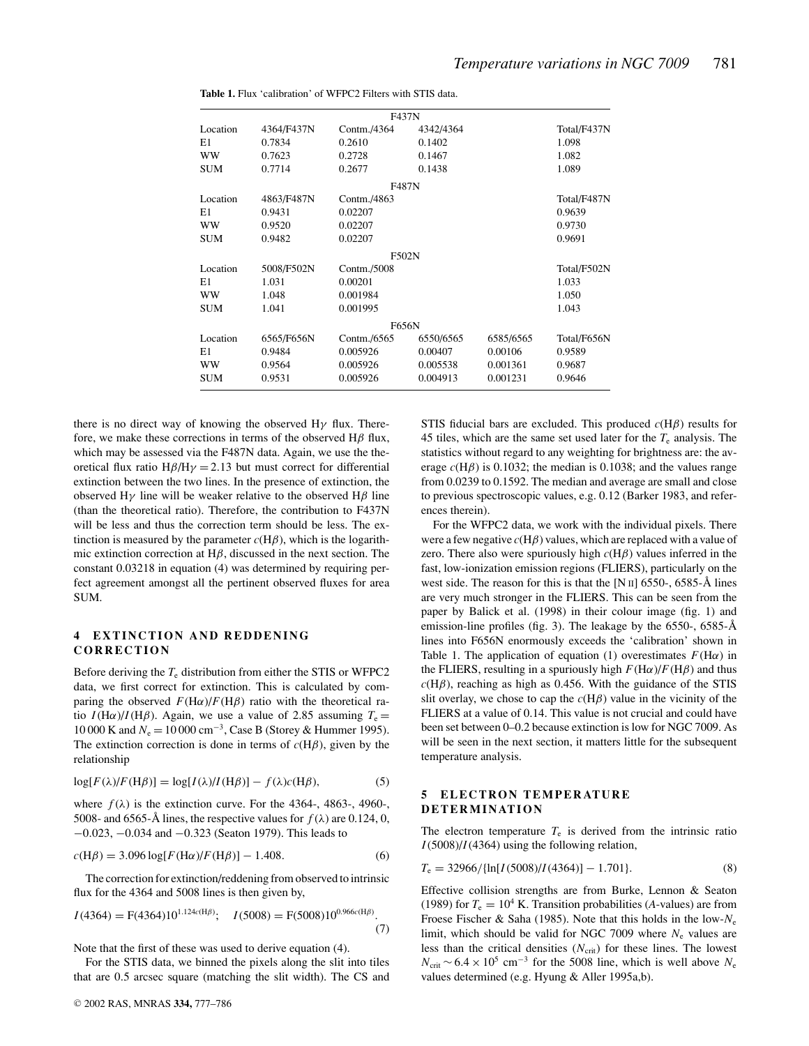|            |            | F437N       |           |           |             |
|------------|------------|-------------|-----------|-----------|-------------|
| Location   | 4364/F437N | Contm./4364 | 4342/4364 |           | Total/F437N |
| E1         | 0.7834     | 0.2610      | 0.1402    |           | 1.098       |
| <b>WW</b>  | 0.7623     | 0.2728      | 0.1467    |           | 1.082       |
| <b>SUM</b> | 0.7714     | 0.2677      | 0.1438    |           | 1.089       |
|            |            | F487N       |           |           |             |
| Location   | 4863/F487N | Contm./4863 |           |           | Total/F487N |
| E1         | 0.9431     | 0.02207     |           |           | 0.9639      |
| <b>WW</b>  | 0.9520     | 0.02207     |           |           | 0.9730      |
| <b>SUM</b> | 0.9482     | 0.02207     |           |           | 0.9691      |
|            |            | F502N       |           |           |             |
| Location   | 5008/F502N | Contm./5008 |           |           | Total/F502N |
| E1         | 1.031      | 0.00201     |           |           | 1.033       |
| <b>WW</b>  | 1.048      | 0.001984    |           |           | 1.050       |
| <b>SUM</b> | 1.041      | 0.001995    |           |           | 1.043       |
|            |            | F656N       |           |           |             |
| Location   | 6565/F656N | Contm./6565 | 6550/6565 | 6585/6565 | Total/F656N |
| E1         | 0.9484     | 0.005926    | 0.00407   | 0.00106   | 0.9589      |
| <b>WW</b>  | 0.9564     | 0.005926    | 0.005538  | 0.001361  | 0.9687      |
| <b>SUM</b> | 0.9531     | 0.005926    | 0.004913  | 0.001231  | 0.9646      |

**Table 1.** Flux 'calibration' of WFPC2 Filters with STIS data.

there is no direct way of knowing the observed H $\gamma$  flux. Therefore, we make these corrections in terms of the observed  $H\beta$  flux, which may be assessed via the F487N data. Again, we use the theoretical flux ratio  $H\beta/H\gamma = 2.13$  but must correct for differential extinction between the two lines. In the presence of extinction, the observed H<sub>γ</sub> line will be weaker relative to the observed H $\beta$  line (than the theoretical ratio). Therefore, the contribution to F437N will be less and thus the correction term should be less. The extinction is measured by the parameter  $c(H\beta)$ , which is the logarithmic extinction correction at  $H\beta$ , discussed in the next section. The constant 0.03218 in equation (4) was determined by requiring perfect agreement amongst all the pertinent observed fluxes for area SUM.

# **4 EXTINCTION AND REDDENING CORRECTION**

Before deriving the *T*<sup>e</sup> distribution from either the STIS or WFPC2 data, we first correct for extinction. This is calculated by comparing the observed  $F(H\alpha)/F(H\beta)$  ratio with the theoretical ratio  $I(H\alpha)/I(H\beta)$ . Again, we use a value of 2.85 assuming  $T_e =$ 10 000 K and *N*<sub>e</sub> = 10 000 cm<sup>-3</sup>, Case B (Storey & Hummer 1995). The extinction correction is done in terms of  $c(H\beta)$ , given by the relationship

$$
\log[F(\lambda)/F(H\beta)] = \log[I(\lambda)/I(H\beta)] - f(\lambda)c(H\beta),\tag{5}
$$

where  $f(\lambda)$  is the extinction curve. For the 4364-, 4863-, 4960-, 5008- and 6565-Å lines, the respective values for  $f(\lambda)$  are 0.124, 0, −0.023, −0.034 and −0.323 (Seaton 1979). This leads to

$$
c(H\beta) = 3.096 \log[F(H\alpha)/F(H\beta)] - 1.408.
$$
 (6)

The correction for extinction/reddening from observed to intrinsic flux for the 4364 and 5008 lines is then given by,

$$
I(4364) = F(4364)10^{1.124c(H\beta)}; \quad I(5008) = F(5008)10^{0.966c(H\beta)}.
$$
\n(7)

Note that the first of these was used to derive equation (4).

For the STIS data, we binned the pixels along the slit into tiles that are 0.5 arcsec square (matching the slit width). The CS and STIS fiducial bars are excluded. This produced  $c(H\beta)$  results for 45 tiles, which are the same set used later for the  $T_e$  analysis. The statistics without regard to any weighting for brightness are: the average  $c(H\beta)$  is 0.1032; the median is 0.1038; and the values range from 0.0239 to 0.1592. The median and average are small and close to previous spectroscopic values, e.g. 0.12 (Barker 1983, and references therein).

For the WFPC2 data, we work with the individual pixels. There were a few negative *c*(Hβ) values, which are replaced with a value of zero. There also were spuriously high  $c(H\beta)$  values inferred in the fast, low-ionization emission regions (FLIERS), particularly on the west side. The reason for this is that the [N  $\text{II}$ ] 6550-, 6585-Å lines are very much stronger in the FLIERS. This can be seen from the paper by Balick et al. (1998) in their colour image (fig. 1) and emission-line profiles (fig. 3). The leakage by the  $6550$ -,  $6585-\text{\AA}$ lines into F656N enormously exceeds the 'calibration' shown in Table 1. The application of equation (1) overestimates  $F(\text{H}\alpha)$  in the FLIERS, resulting in a spuriously high  $F(\text{H}\alpha)/F(\text{H}\beta)$  and thus  $c(H\beta)$ , reaching as high as 0.456. With the guidance of the STIS slit overlay, we chose to cap the  $c(H\beta)$  value in the vicinity of the FLIERS at a value of 0.14. This value is not crucial and could have been set between 0–0.2 because extinction is low for NGC 7009. As will be seen in the next section, it matters little for the subsequent temperature analysis.

# **5 ELECTRON TEMPERATURE DETERMINATION**

The electron temperature  $T_e$  is derived from the intrinsic ratio *I*(5008)/*I*(4364) using the following relation,

$$
T_e = 32966 / \{\ln[I(5008)/I(4364)] - 1.701\}.
$$
\n(8)

Effective collision strengths are from Burke, Lennon & Seaton (1989) for  $T_e = 10^4$  K. Transition probabilities (*A*-values) are from Froese Fischer & Saha (1985). Note that this holds in the low-*N*<sup>e</sup> limit, which should be valid for NGC 7009 where  $N_e$  values are less than the critical densities  $(N_{\text{crit}})$  for these lines. The lowest  $N_{\text{crit}}$  ~ 6.4 × 10<sup>5</sup> cm<sup>-3</sup> for the 5008 line, which is well above  $N_e$ values determined (e.g. Hyung & Aller 1995a,b).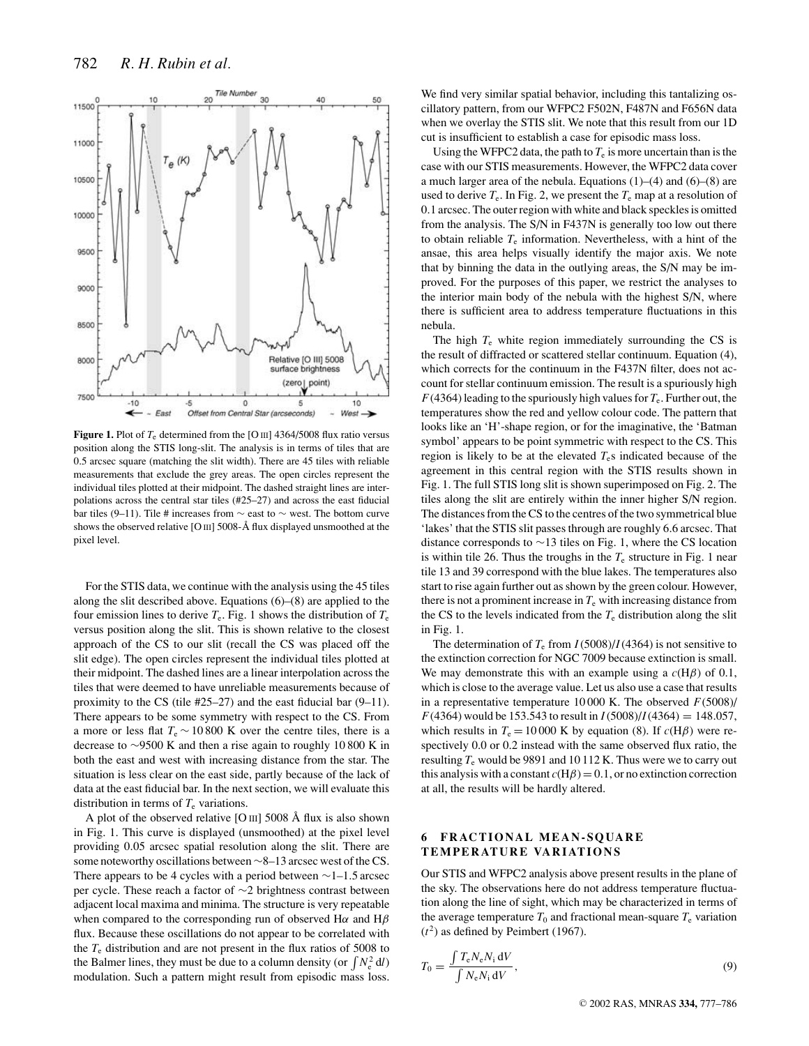

**Figure 1.** Plot of  $T_e$  determined from the [O III] 4364/5008 flux ratio versus position along the STIS long-slit. The analysis is in terms of tiles that are 0.5 arcsec square (matching the slit width). There are 45 tiles with reliable measurements that exclude the grey areas. The open circles represent the individual tiles plotted at their midpoint. The dashed straight lines are interpolations across the central star tiles (#25–27) and across the east fiducial bar tiles (9–11). Tile # increases from  $\sim$  east to  $\sim$  west. The bottom curve shows the observed relative [O  $\text{III}$ ] 5008-Å flux displayed unsmoothed at the pixel level.

For the STIS data, we continue with the analysis using the 45 tiles along the slit described above. Equations (6)–(8) are applied to the four emission lines to derive  $T_e$ . Fig. 1 shows the distribution of  $T_e$ versus position along the slit. This is shown relative to the closest approach of the CS to our slit (recall the CS was placed off the slit edge). The open circles represent the individual tiles plotted at their midpoint. The dashed lines are a linear interpolation across the tiles that were deemed to have unreliable measurements because of proximity to the CS (tile #25–27) and the east fiducial bar (9–11). There appears to be some symmetry with respect to the CS. From a more or less flat  $T_e \sim 10800$  K over the centre tiles, there is a decrease to ∼9500 K and then a rise again to roughly 10 800 K in both the east and west with increasing distance from the star. The situation is less clear on the east side, partly because of the lack of data at the east fiducial bar. In the next section, we will evaluate this distribution in terms of  $T_e$  variations.

A plot of the observed relative [O  $\text{III}$ ] 5008 Å flux is also shown in Fig. 1. This curve is displayed (unsmoothed) at the pixel level providing 0.05 arcsec spatial resolution along the slit. There are some noteworthy oscillations between ∼8–13 arcsec west of the CS. There appears to be 4 cycles with a period between ∼1–1.5 arcsec per cycle. These reach a factor of ∼2 brightness contrast between adjacent local maxima and minima. The structure is very repeatable when compared to the corresponding run of observed H $\alpha$  and H $\beta$ flux. Because these oscillations do not appear to be correlated with the  $T_e$  distribution and are not present in the flux ratios of 5008 to the Balmer lines, they must be due to a column density (or  $\int N_e^2 dl$ ) modulation. Such a pattern might result from episodic mass loss.

We find very similar spatial behavior, including this tantalizing oscillatory pattern, from our WFPC2 F502N, F487N and F656N data when we overlay the STIS slit. We note that this result from our 1D cut is insufficient to establish a case for episodic mass loss.

Using the WFPC2 data, the path to  $T_e$  is more uncertain than is the case with our STIS measurements. However, the WFPC2 data cover a much larger area of the nebula. Equations (1)–(4) and (6)–(8) are used to derive  $T_e$ . In Fig. 2, we present the  $T_e$  map at a resolution of 0.1 arcsec. The outer region with white and black speckles is omitted from the analysis. The S/N in F437N is generally too low out there to obtain reliable  $T_e$  information. Nevertheless, with a hint of the ansae, this area helps visually identify the major axis. We note that by binning the data in the outlying areas, the S/N may be improved. For the purposes of this paper, we restrict the analyses to the interior main body of the nebula with the highest S/N, where there is sufficient area to address temperature fluctuations in this nebula.

The high  $T_e$  white region immediately surrounding the CS is the result of diffracted or scattered stellar continuum. Equation (4), which corrects for the continuum in the F437N filter, does not account for stellar continuum emission. The result is a spuriously high  $F(4364)$  leading to the spuriously high values for  $T_e$ . Further out, the temperatures show the red and yellow colour code. The pattern that looks like an 'H'-shape region, or for the imaginative, the 'Batman symbol' appears to be point symmetric with respect to the CS. This region is likely to be at the elevated  $T<sub>e</sub>$ s indicated because of the agreement in this central region with the STIS results shown in Fig. 1. The full STIS long slit is shown superimposed on Fig. 2. The tiles along the slit are entirely within the inner higher S/N region. The distances from the CS to the centres of the two symmetrical blue 'lakes' that the STIS slit passes through are roughly 6.6 arcsec. That distance corresponds to ∼13 tiles on Fig. 1, where the CS location is within tile 26. Thus the troughs in the  $T_e$  structure in Fig. 1 near tile 13 and 39 correspond with the blue lakes. The temperatures also start to rise again further out as shown by the green colour. However, there is not a prominent increase in  $T_e$  with increasing distance from the CS to the levels indicated from the  $T_e$  distribution along the slit in Fig. 1.

The determination of  $T_e$  from  $I(5008)/I(4364)$  is not sensitive to the extinction correction for NGC 7009 because extinction is small. We may demonstrate this with an example using a  $c(H\beta)$  of 0.1, which is close to the average value. Let us also use a case that results in a representative temperature 10 000 K. The observed *F*(5008)/  $F(4364)$  would be 153.543 to result in  $I(5008)/I(4364) = 148.057$ , which results in  $T_e = 10000$  K by equation (8). If  $c(H\beta)$  were respectively 0.0 or 0.2 instead with the same observed flux ratio, the resulting  $T_e$  would be 9891 and 10 112 K. Thus were we to carry out this analysis with a constant  $c(H\beta) = 0.1$ , or no extinction correction at all, the results will be hardly altered.

## **6 FRACTIONAL MEAN-SQUARE TEMPERATURE VARIATIONS**

Our STIS and WFPC2 analysis above present results in the plane of the sky. The observations here do not address temperature fluctuation along the line of sight, which may be characterized in terms of the average temperature  $T_0$  and fractional mean-square  $T_e$  variation  $(t<sup>2</sup>)$  as defined by Peimbert (1967).

$$
T_0 = \frac{\int T_e N_e N_i \, dV}{\int N_e N_i \, dV},\tag{9}
$$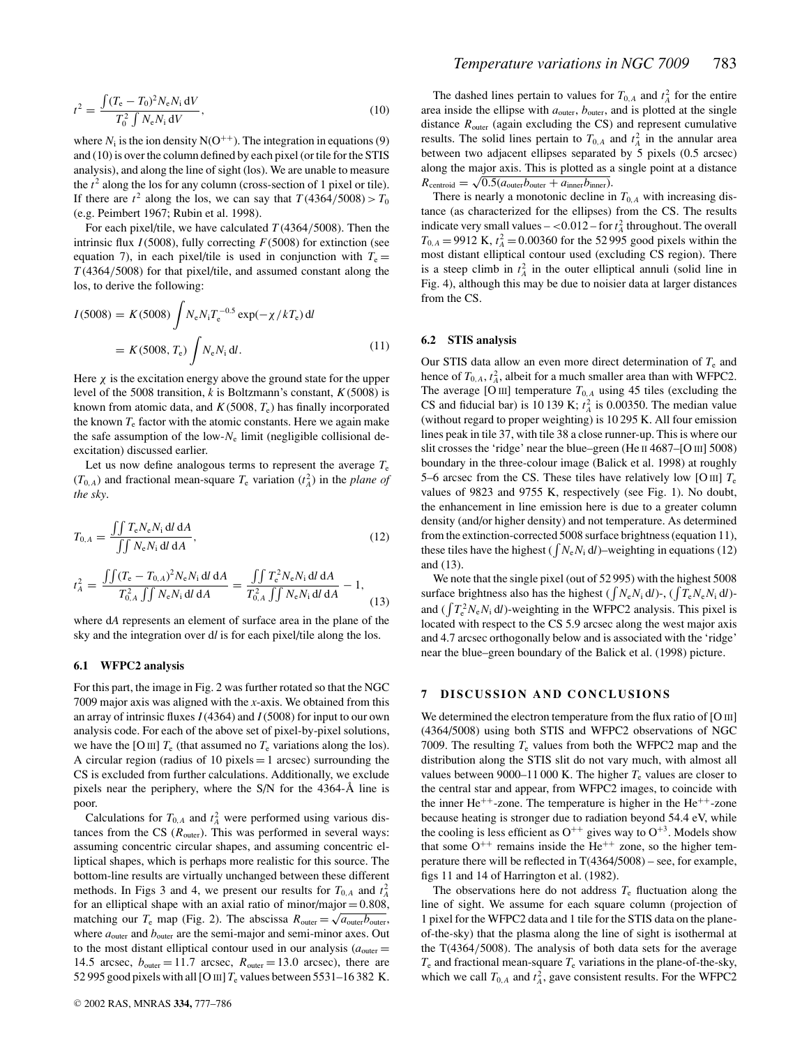$$
t^{2} = \frac{\int (T_{e} - T_{0})^{2} N_{e} N_{i} \, dV}{T_{0}^{2} \int N_{e} N_{i} \, dV},
$$
\n(10)

where  $N_i$  is the ion density  $N(O^{++})$ . The integration in equations (9) and (10) is over the column defined by each pixel (or tile for the STIS analysis), and along the line of sight (los). We are unable to measure the  $t^2$  along the los for any column (cross-section of 1 pixel or tile). If there are  $t^2$  along the los, we can say that  $T(4364/5008) > T_0$ (e.g. Peimbert 1967; Rubin et al. 1998).

For each pixel/tile, we have calculated  $T(4364/5008)$ . Then the intrinsic flux *I*(5008), fully correcting *F*(5008) for extinction (see equation 7), in each pixel/tile is used in conjunction with  $T_e$ *T* (4364/5008) for that pixel/tile, and assumed constant along the los, to derive the following:

$$
I(5008) = K(5008) \int N_e N_i T_e^{-0.5} \exp(-\chi/kT_e) \, \mathrm{d}l
$$

$$
= K(5008, T_e) \int N_e N_i \, \mathrm{d}l. \tag{11}
$$

Here  $\chi$  is the excitation energy above the ground state for the upper level of the 5008 transition, *k* is Boltzmann's constant, *K*(5008) is known from atomic data, and  $K(5008, T_e)$  has finally incorporated the known  $T_e$  factor with the atomic constants. Here we again make the safe assumption of the low- $N_e$  limit (negligible collisional deexcitation) discussed earlier.

Let us now define analogous terms to represent the average  $T_e$  $(T_{0,A})$  and fractional mean-square  $T_e$  variation  $(t_A^2)$  in the *plane of the sky*.

$$
T_{0,A} = \frac{\iint T_e N_e N_i \, \mathrm{d}l \, \mathrm{d}A}{\iint N_e N_i \, \mathrm{d}l \, \mathrm{d}A},\tag{12}
$$

$$
t_A^2 = \frac{\int \int (T_{\rm e} - T_{0,A})^2 N_{\rm e} N_{\rm i} \, \mathrm{d}l \, \mathrm{d}A}{T_{0,A}^2 \int \int N_{\rm e} N_{\rm i} \, \mathrm{d}l \, \mathrm{d}A} = \frac{\int \int T_{\rm e}^2 N_{\rm e} N_{\rm i} \, \mathrm{d}l \, \mathrm{d}A}{T_{0,A}^2 \int \int N_{\rm e} N_{\rm i} \, \mathrm{d}l \, \mathrm{d}A} - 1,\tag{13}
$$

where d*A* represents an element of surface area in the plane of the sky and the integration over d*l* is for each pixel/tile along the los.

#### **6.1 WFPC2 analysis**

For this part, the image in Fig. 2 was further rotated so that the NGC 7009 major axis was aligned with the *x*-axis. We obtained from this an array of intrinsic fluxes *I*(4364) and *I*(5008) for input to our own analysis code. For each of the above set of pixel-by-pixel solutions, we have the [O III]  $T_e$  (that assumed no  $T_e$  variations along the los). A circular region (radius of 10 pixels  $=$  1 arcsec) surrounding the CS is excluded from further calculations. Additionally, we exclude pixels near the periphery, where the  $S/N$  for the 4364-Å line is poor.

Calculations for  $T_{0,A}$  and  $t_A^2$  were performed using various distances from the CS  $(R_{\text{outer}})$ . This was performed in several ways: assuming concentric circular shapes, and assuming concentric elliptical shapes, which is perhaps more realistic for this source. The bottom-line results are virtually unchanged between these different methods. In Figs 3 and 4, we present our results for  $T_{0,A}$  and  $t_A^2$ for an elliptical shape with an axial ratio of minor/major  $= 0.808$ , matching our  $T_e$  map (Fig. 2). The abscissa  $R_{\text{outer}} = \sqrt{a_{\text{outer}}b_{\text{outer}}}$ , where  $a_{\text{outer}}$  and  $b_{\text{outer}}$  are the semi-major and semi-minor axes. Out to the most distant elliptical contour used in our analysis  $(a_{\text{outer}} =$ 14.5 arcsec,  $b_{\text{outer}} = 11.7$  arcsec,  $R_{\text{outer}} = 13.0$  arcsec), there are 52 995 good pixels with all [O  $\text{III}$ ]  $T_e$  values between 5531–16 382 K.

The dashed lines pertain to values for  $T_{0,A}$  and  $t_A^2$  for the entire area inside the ellipse with  $a_{\text{outer}}$ ,  $b_{\text{outer}}$ , and is plotted at the single distance  $R_{\text{outer}}$  (again excluding the CS) and represent cumulative results. The solid lines pertain to  $T_{0,A}$  and  $t_A^2$  in the annular area between two adjacent ellipses separated by 5 pixels (0.5 arcsec) along the major axis. This is plotted as a single point at a distance  $R_{\text{centroid}} = \sqrt{0.5(a_{\text{outer}}b_{\text{outer}} + a_{\text{inner}}b_{\text{inner}})}.$ 

There is nearly a monotonic decline in  $T_{0,A}$  with increasing distance (as characterized for the ellipses) from the CS. The results indicate very small values  $- <0.012$  – for  $t_A^2$  throughout. The overall  $T_{0,A}$  = 9912 K,  $t_A^2$  = 0.00360 for the 52 995 good pixels within the most distant elliptical contour used (excluding CS region). There is a steep climb in  $t_A^2$  in the outer elliptical annuli (solid line in Fig. 4), although this may be due to noisier data at larger distances from the CS.

#### **6.2 STIS analysis**

Our STIS data allow an even more direct determination of *T*<sup>e</sup> and hence of  $T_{0,A}$ ,  $t_A^2$ , albeit for a much smaller area than with WFPC2. The average [O III] temperature  $T_{0,A}$  using 45 tiles (excluding the CS and fiducial bar) is 10 139 K;  $t_A^2$  is 0.00350. The median value (without regard to proper weighting) is 10 295 K. All four emission lines peak in tile 37, with tile 38 a close runner-up. This is where our slit crosses the 'ridge' near the blue–green (He II 4687–[O III] 5008) boundary in the three-colour image (Balick et al. 1998) at roughly 5–6 arcsec from the CS. These tiles have relatively low [O III]  $T_e$ values of 9823 and 9755 K, respectively (see Fig. 1). No doubt, the enhancement in line emission here is due to a greater column density (and/or higher density) and not temperature. As determined from the extinction-corrected 5008 surface brightness (equation 11), these tiles have the highest ( $\int N_e N_i dl$ )–weighting in equations (12) and (13).

We note that the single pixel (out of 52 995) with the highest 5008 surface brightness also has the highest ( $\int N_e N_i dl$ )-, ( $\int T_e N_e N_i dl$ )and ( $\int T_e^2 N_e N_i dl$ )-weighting in the WFPC2 analysis. This pixel is located with respect to the CS 5.9 arcsec along the west major axis and 4.7 arcsec orthogonally below and is associated with the 'ridge' near the blue–green boundary of the Balick et al. (1998) picture.

## **7 DISCUSSION AND CONCLUSIONS**

We determined the electron temperature from the flux ratio of [O III] (4364/5008) using both STIS and WFPC2 observations of NGC 7009. The resulting  $T_e$  values from both the WFPC2 map and the distribution along the STIS slit do not vary much, with almost all values between 9000–11 000 K. The higher  $T_e$  values are closer to the central star and appear, from WFPC2 images, to coincide with the inner  $He^{++}$ -zone. The temperature is higher in the  $He^{++}$ -zone because heating is stronger due to radiation beyond 54.4 eV, while the cooling is less efficient as  $O^{++}$  gives way to  $O^{+3}$ . Models show that some  $O^{++}$  remains inside the He<sup>++</sup> zone, so the higher temperature there will be reflected in  $T(4364/5008)$  – see, for example, figs 11 and 14 of Harrington et al. (1982).

The observations here do not address  $T_e$  fluctuation along the line of sight. We assume for each square column (projection of 1 pixel for the WFPC2 data and 1 tile for the STIS data on the planeof-the-sky) that the plasma along the line of sight is isothermal at the T(4364/5008). The analysis of both data sets for the average  $T_e$  and fractional mean-square  $T_e$  variations in the plane-of-the-sky, which we call  $T_{0,A}$  and  $t_A^2$ , gave consistent results. For the WFPC2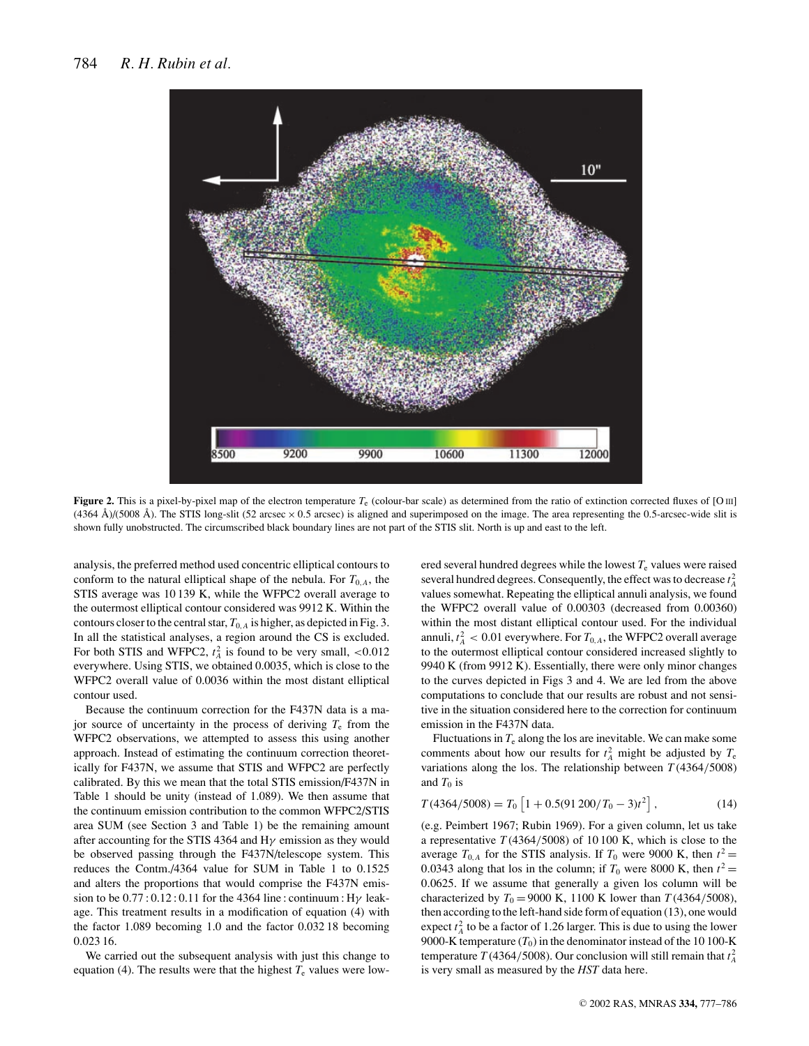

**Figure 2.** This is a pixel-by-pixel map of the electron temperature  $T_e$  (colour-bar scale) as determined from the ratio of extinction corrected fluxes of [O III]  $(4364 \text{ Å})/(5008 \text{ Å})$ . The STIS long-slit (52 arcsec  $\times$  0.5 arcsec) is aligned and superimposed on the image. The area representing the 0.5-arcsec-wide slit is shown fully unobstructed. The circumscribed black boundary lines are not part of the STIS slit. North is up and east to the left.

analysis, the preferred method used concentric elliptical contours to conform to the natural elliptical shape of the nebula. For  $T_{0,A}$ , the STIS average was 10 139 K, while the WFPC2 overall average to the outermost elliptical contour considered was 9912 K. Within the contours closer to the central star,  $T_{0,A}$  is higher, as depicted in Fig. 3. In all the statistical analyses, a region around the CS is excluded. For both STIS and WFPC2,  $t_A^2$  is found to be very small,  $\lt 0.012$ everywhere. Using STIS, we obtained 0.0035, which is close to the WFPC2 overall value of 0.0036 within the most distant elliptical contour used.

Because the continuum correction for the F437N data is a major source of uncertainty in the process of deriving *T*<sup>e</sup> from the WFPC2 observations, we attempted to assess this using another approach. Instead of estimating the continuum correction theoretically for F437N, we assume that STIS and WFPC2 are perfectly calibrated. By this we mean that the total STIS emission/F437N in Table 1 should be unity (instead of 1.089). We then assume that the continuum emission contribution to the common WFPC2/STIS area SUM (see Section 3 and Table 1) be the remaining amount after accounting for the STIS 4364 and H $\gamma$  emission as they would be observed passing through the F437N/telescope system. This reduces the Contm./4364 value for SUM in Table 1 to 0.1525 and alters the proportions that would comprise the F437N emission to be  $0.77:0.12:0.11$  for the 4364 line : continuum : H $\gamma$  leakage. This treatment results in a modification of equation (4) with the factor 1.089 becoming 1.0 and the factor 0.032 18 becoming 0.023 16.

We carried out the subsequent analysis with just this change to equation (4). The results were that the highest  $T_e$  values were lowered several hundred degrees while the lowest  $T<sub>e</sub>$  values were raised several hundred degrees. Consequently, the effect was to decrease  $t_A^2$ values somewhat. Repeating the elliptical annuli analysis, we found the WFPC2 overall value of 0.00303 (decreased from 0.00360) within the most distant elliptical contour used. For the individual annuli,  $t_A^2 < 0.01$  everywhere. For  $T_{0,A}$ , the WFPC2 overall average to the outermost elliptical contour considered increased slightly to 9940 K (from 9912 K). Essentially, there were only minor changes to the curves depicted in Figs 3 and 4. We are led from the above computations to conclude that our results are robust and not sensitive in the situation considered here to the correction for continuum emission in the F437N data.

Fluctuations in  $T_e$  along the los are inevitable. We can make some comments about how our results for  $t_A^2$  might be adjusted by  $T_e$ variations along the los. The relationship between  $T(4364/5008)$ and  $T_0$  is

$$
T(4364/5008) = T_0 \left[ 1 + 0.5(91200/T_0 - 3)t^2 \right],
$$
 (14)

(e.g. Peimbert 1967; Rubin 1969). For a given column, let us take a representative *T* (4364/5008) of 10 100 K, which is close to the average  $T_{0,A}$  for the STIS analysis. If  $T_0$  were 9000 K, then  $t^2 =$ 0.0343 along that los in the column; if  $T_0$  were 8000 K, then  $t^2 =$ 0.0625. If we assume that generally a given los column will be characterized by  $T_0 = 9000 \text{ K}$ , 1100 K lower than  $T(4364/5008)$ , then according to the left-hand side form of equation (13), one would expect  $t_A^2$  to be a factor of 1.26 larger. This is due to using the lower 9000-K temperature  $(T_0)$  in the denominator instead of the 10 100-K temperature *T* (4364/5008). Our conclusion will still remain that  $t_A^2$ is very small as measured by the *HST* data here.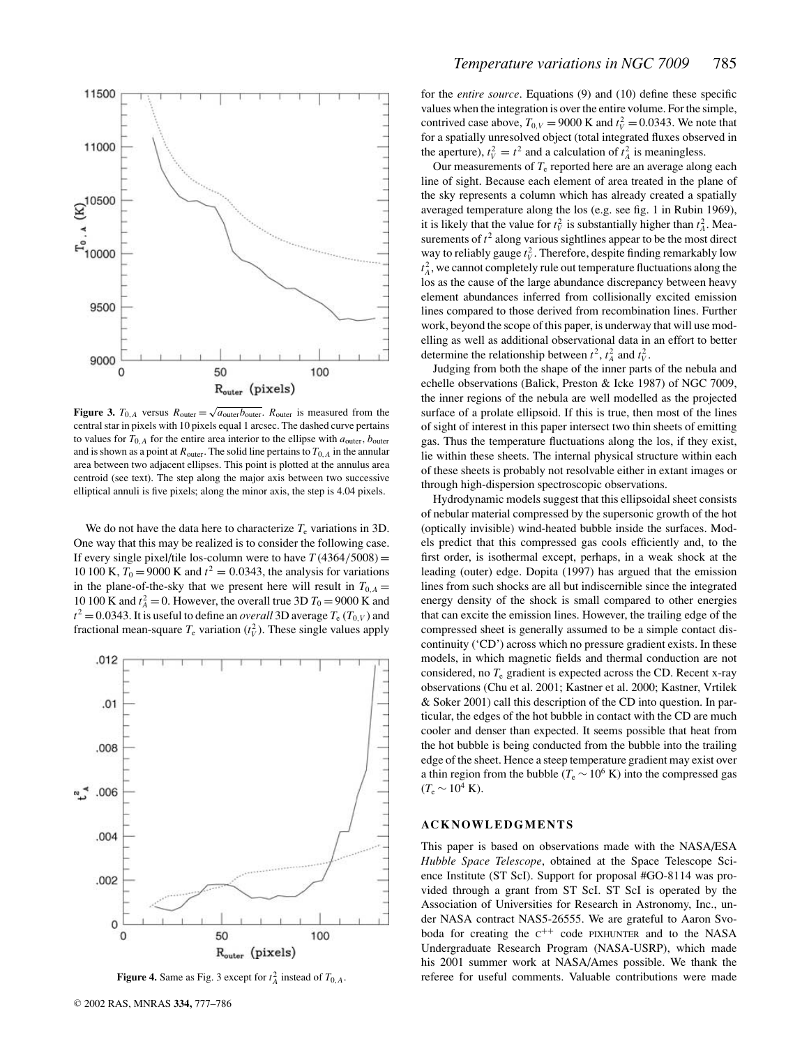

**Figure 3.**  $T_{0,A}$  versus  $R_{\text{outer}} = \sqrt{a_{\text{outer}}b_{\text{outer}}}$ .  $R_{\text{outer}}$  is measured from the central star in pixels with 10 pixels equal 1 arcsec. The dashed curve pertains to values for  $T_{0,A}$  for the entire area interior to the ellipse with  $a_{\text{outer}}$ ,  $b_{\text{outer}}$ and is shown as a point at  $R_{\text{outer}}$ . The solid line pertains to  $T_{0,A}$  in the annular area between two adjacent ellipses. This point is plotted at the annulus area centroid (see text). The step along the major axis between two successive elliptical annuli is five pixels; along the minor axis, the step is 4.04 pixels.

We do not have the data here to characterize  $T_e$  variations in 3D. One way that this may be realized is to consider the following case. If every single pixel/tile los-column were to have  $T(4364/5008) =$ 10 100 K,  $T_0 = 9000$  K and  $t^2 = 0.0343$ , the analysis for variations in the plane-of-the-sky that we present here will result in  $T_{0,A}$  = 10 100 K and  $t_A^2 = 0$ . However, the overall true 3D  $T_0 = 9000$  K and  $t^2 = 0.0343$ . It is useful to define an *overall* 3D average  $T_e$  ( $T_{0,V}$ ) and fractional mean-square  $T_e$  variation  $(t_V^2)$ . These single values apply



**Figure 4.** Same as Fig. 3 except for  $t_A^2$  instead of  $T_{0,A}$ .

for the *entire source*. Equations (9) and (10) define these specific values when the integration is over the entire volume. For the simple, contrived case above,  $T_{0,V} = 9000 \text{ K}$  and  $t_V^2 = 0.0343$ . We note that for a spatially unresolved object (total integrated fluxes observed in the aperture),  $t_V^2 = t^2$  and a calculation of  $t_A^2$  is meaningless.

Our measurements of  $T<sub>e</sub>$  reported here are an average along each line of sight. Because each element of area treated in the plane of the sky represents a column which has already created a spatially averaged temperature along the los (e.g. see fig. 1 in Rubin 1969), it is likely that the value for  $t_V^2$  is substantially higher than  $t_A^2$ . Measurements of  $t^2$  along various sightlines appear to be the most direct way to reliably gauge  $t_V^2$ . Therefore, despite finding remarkably low  $t_A^2$ , we cannot completely rule out temperature fluctuations along the los as the cause of the large abundance discrepancy between heavy element abundances inferred from collisionally excited emission lines compared to those derived from recombination lines. Further work, beyond the scope of this paper, is underway that will use modelling as well as additional observational data in an effort to better determine the relationship between  $t^2$ ,  $t^2$  and  $t^2$ .

Judging from both the shape of the inner parts of the nebula and echelle observations (Balick, Preston & Icke 1987) of NGC 7009, the inner regions of the nebula are well modelled as the projected surface of a prolate ellipsoid. If this is true, then most of the lines of sight of interest in this paper intersect two thin sheets of emitting gas. Thus the temperature fluctuations along the los, if they exist, lie within these sheets. The internal physical structure within each of these sheets is probably not resolvable either in extant images or through high-dispersion spectroscopic observations.

Hydrodynamic models suggest that this ellipsoidal sheet consists of nebular material compressed by the supersonic growth of the hot (optically invisible) wind-heated bubble inside the surfaces. Models predict that this compressed gas cools efficiently and, to the first order, is isothermal except, perhaps, in a weak shock at the leading (outer) edge. Dopita (1997) has argued that the emission lines from such shocks are all but indiscernible since the integrated energy density of the shock is small compared to other energies that can excite the emission lines. However, the trailing edge of the compressed sheet is generally assumed to be a simple contact discontinuity ('CD') across which no pressure gradient exists. In these models, in which magnetic fields and thermal conduction are not considered, no *T*<sup>e</sup> gradient is expected across the CD. Recent x-ray observations (Chu et al. 2001; Kastner et al. 2000; Kastner, Vrtilek & Soker 2001) call this description of the CD into question. In particular, the edges of the hot bubble in contact with the CD are much cooler and denser than expected. It seems possible that heat from the hot bubble is being conducted from the bubble into the trailing edge of the sheet. Hence a steep temperature gradient may exist over a thin region from the bubble ( $T_e \sim 10^6$  K) into the compressed gas  $(T_e \sim 10^4 \text{ K}).$ 

# **ACKNOWLEDGMENTS**

This paper is based on observations made with the NASA/ESA *Hubble Space Telescope*, obtained at the Space Telescope Science Institute (ST ScI). Support for proposal #GO-8114 was provided through a grant from ST ScI. ST ScI is operated by the Association of Universities for Research in Astronomy, Inc., under NASA contract NAS5-26555. We are grateful to Aaron Svoboda for creating the  $C^{++}$  code PIXHUNTER and to the NASA Undergraduate Research Program (NASA-USRP), which made his 2001 summer work at NASA/Ames possible. We thank the referee for useful comments. Valuable contributions were made